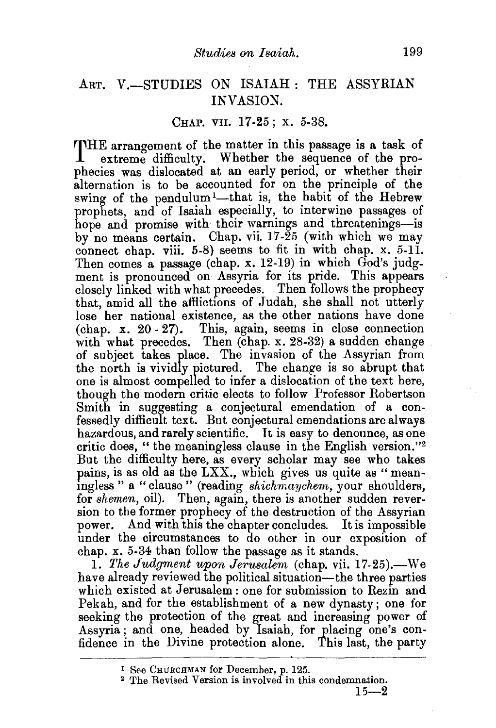## ART. V.-STUDIES ON ISAIAH : THE ASSYRIAN INVASION.

## CHAP. VII. 17-25; X. 5-38.

THE arrangement of the matter in this passage is a task of extreme difficulty. Whether the sequence of the proextreme difficulty. Whether the sequence of the prophecies was dislocated at an early period, or whether their alternation is to be accounted for on the principle of the swing of the pendulum<sup>1</sup>-that is, the habit of the Hebrew prophets, and of Isaiah especially, to interwine passages of hope and promise with their warnings and threatenings-is by no means certain. Chap. vii. 17-25 (with which we may connect chap. viii.  $5-8$ ) seems to fit in with chap. x.  $5-11$ . Then comes a passage (chap. x. 12-19) in which  $G_{od}$ 's judgment is pronounced on Assyria for its pride. This appears closely linked with what precedes. Then follows the prophecy that, amid all the affiictions of Judah, she shall not utterly lose her national existence, as the other nations have done (chap.  $x. 20-27$ ). This, again, seems in close connection with what precedes. Then (chap. x. 28-32) a sudden change of subject takes place. The invasion of the Assyrian from the north is vividly pictured. The change is so abrupt that one is almost compelled to infer a dislocation of the text here, though the modern critic elects to follow Professor Robertson Smith in suggesting a conjectural emendation of a confessedly difficult text. But conjectural emendations are always hazardous, and rarely scientific. It is easy to denounce, as one critic does, "the meaningless clause in the English version."2 But the difficulty here, as every scholar may see who takes pains, is as old as the LXX., which gives us quite as "meanmgless " a "clause " (reading *shichrnaychem,* your shoulders, for *shemen,* oil). Then, again, there is another sudden reversion to the former prophecy of the destruction of the Assyrian power. And with this the chapter concludes. It is impossible under the circumstances to do other in our exposition of chap. x. 5-34 than follow the passage as it stands.

1. *The Judgment upon Jerusalem* (chap. vii. 17-25).-We have already reviewed the political situation-the three parties which existed at Jerusalem: one for submission to Rezin and Pekah, and for the establishment of a new dynasty; one for seeking the protection of the great and increasing power of Assyria; and one, headed by Isaiah, for placing one's confidence in the Divine protection alone. This last, the party

<sup>1</sup> See CHURCHMAN for December, p. 125.<br><sup>2</sup> The Revised Version is involved in this condemnation.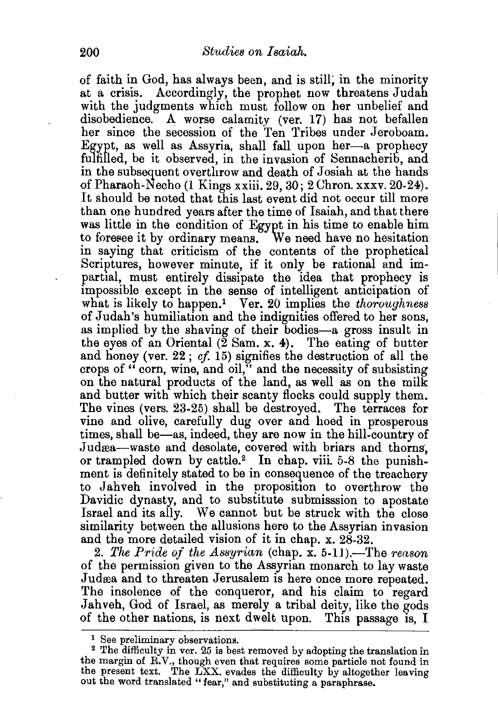of faith in God, has always been, and is still; in the minority at a crisis. Accordingly, the prophet now threatens Judah with the judgments which must follow on her unbelief and disobedience. A worse calamity (ver. 17) has not befallen her since the secession of the Ten Tribes under Jeroboam. Egypt, as well as Assyria, shall fall upon her-a prophecy fulfilled, be it observed, in the invasion of Sennacherib, and in the subsequent overthrow and death of Josiah at the hands of Pharaoh-Necho (1 Kings xxiii. 29, 30; 2 Chron. xxxv. 20-24). It should be noted that this last event did not occur till more than one hundred years after the time of Isaiah, and that there was little in the condition of Egypt in his time to enable him to foresee it by ordinary means. We need have no hesitation in saying that criticism of the contents of the prophetical Scriptures, however minute, if it only be rational and impartial, must entirely dissipate the idea that prophecy is impossible except in the sense of intelligent anticipation of what is likely to happen.<sup>1</sup> Ver. 20 implies the *thoroughness* of Judah's humiliation and the indignities offered to her sons, as implied by the shaving of their bodies-a gross insult in the eyes of an Oriental  $(\tilde{2} \text{ Sam. x. 4})$ . The eating of butter and honey (ver. 22; *cf* 15) signifies the destruction of all the crops of  $\cdot$  corn, wine, and oil," and the necessity of subsisting on the natural products of the land, as well as on the milk and butter with which their scanty flocks could supply them. The vines (vers. 23-25) shall be destroyed. The terraces for vine and olive, carefully dug over and hoed in prosperous times, shall be-as, indeed, they are now in the hill-country of Judæa-waste and desolate, covered with briars and thorns. or trampled down by cattle.2 In chap. viii. 5-8 the punishment is definitely stated to be in consequence of the treachery to Jahveh involved in the proposition to overthrow the Davidic dynasty, and to substitute submisssion to apostate Israel and its ally. We cannot but be struck with the close similarity between the allusions here to the Assyrian invasion and the more detailed vision of it in chap. x. 28-32.

2. The Pride of the Assyrian (chap. x. 5-11).—The *reason* of the permission given to the Assyrian monarch to lay waste Judæa and to threaten Jerusalem is here once more repeated. The insolence of the conqueror, and his claim to regard .Jahveh, God of Israel, as merely a tribal deity, like the gods of the other nations, is next dwelt upon. This passage is, I

 $^{\rm 1}$  See preliminary observations.<br><sup>2</sup> The difficulty in ver. 25 is best removed by adopting the translation in the margin of R.V., though even that requires some particle not found in the present text. The LXX. evades the difficulty by altogether leaving out the word translated "fear," and substituting a paraphrase.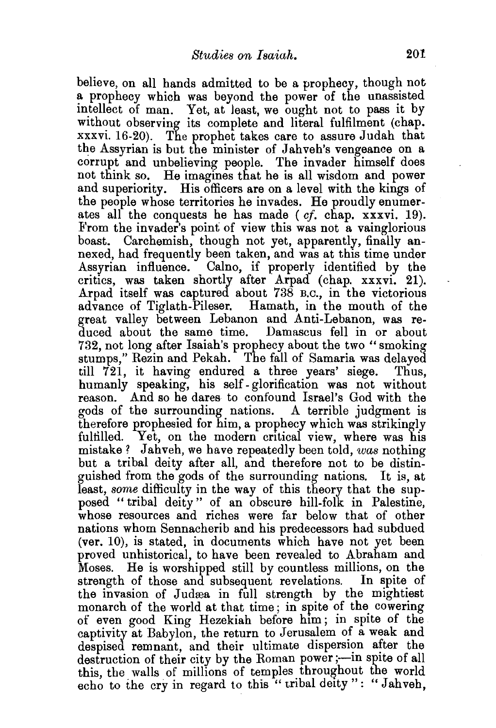believe, on all hands admitted to be a prophecy, though not a prophecy which was beyond the power of the unassisted intellect of man. Yet, at least, we ought not to pass it by without observing its complete and literal fulfilment (chap. xxxvi. 16-20). The prophet takes care to assure Judah that the Assyrian is but the minister of Jahveh's vengeance on a corrupt and unbelieving people. The invader himself does not think so. He imagines that he is all wisdom and power and superiority. His officers are on a level with the kings of the people whose territories he invades. He proudly enumerates all the conquests he has made ( *cf.* chap. xxxvi. 19). From the invader's point of view this was not a vainglorious boast. Carchemish, though not yet, apparently, finally annexed, had frequently been taken, and was at this time under Assyrian influence. Calno, if properly identified by the critics, was taken shortly after Arpad (chap. xxxvi. 21). Arpad itself was captured about 738 B.c., in the victorious advance of Tiglath-Pileser. Hamath, in the mouth of the great valley between Lebanon and Anti-Lebanon, was reduced about the same time. Damascus fell in or about 732, not long after Isaiah's prophecy about the two "smoking stumps," Rezin and Pekah. The fall of Samaria was delayed till 721, it having endured a three years' siege. Thus, humanly speaking, his self- glorification was not without reason. And so he dares to confound Israel's God with the gods of the surrounding nations. A terrible judgment is therefore prophesied for him, a prophecy which was strikingly fulfilled. Yet, on the modern critical view, where was his mistake? Jahveh, we have repeatedly been told, *was* nothing but a tribal deity after all, and therefore not to be distinguished from the gods of the surrounding nations. It is, at least, *some* difficulty in the way of this theory that the supposed "tribal deity" of an obscure hill-folk in Palestine, whose resources and riches were far below that of other nations whom Sennacherib and his predecessors had subdued (ver. 10), is stated, in documents which have not yet been proved unhistorical, to have been revealed to Abraham and Moses. He is worshipped still by countless millions, on the strength of those and subsequent revelations. In spite of the invasion of Judæa in full strength by the mightiest monarch of the world at that time ; in spite of the cowering of even good King Hezekiah before him ; in spite of the captivity at Babylon, the return to Jerusalem *o!* a weak and despised remnant, and their ultimate dispersion after the destruction of their city by the Roman power;-in spite of all this, the walls of millions of temples throughout the world echo to the cry in regard to this "tribal deity": "Jahveh.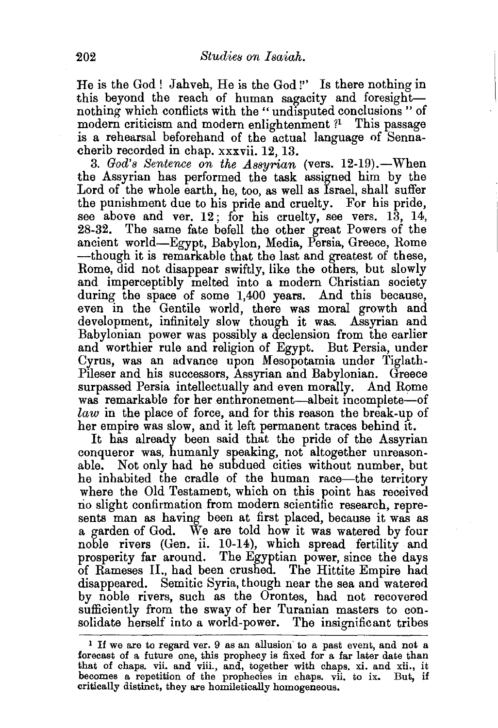He is the God! Jahveh, He is the God!'' Is there nothing in this beyond the reach of human sagacity and foresightnothing which conflicts with the "undisputed conclusions" of modern criticism and modern enlightenment ?<sup>1</sup> This passage is a rehearsal beforehand of the actual language of Sennacherib recorded in chap. xxxvii. 12, 13.

3. *God's Sentence on the Assyrian* (vers. 12-19). - When the Assyrian has performed the task assigned him by the Lord of the whole earth, he, too, as well as Israel, shall suffer the punishment due to his pride and cruelty. For his pride, see above and ver. 12; for his cruelty, see vers. 13, 14, 28-32. The same fate befell the other great Powers of the ancient world-Egypt, Babylon, Media, Persia, Greece, Rome --though it is remarkable that the last and greatest of these, Rome, did not disappear swiftly, like the others, but slowly and imperceptibly melted into a modern Christian society during the space of some 1,400 years. And this because, even in the Gentile world, there was moral growth and development, infinitely slow though it was. Assyrian and Babylonian power was possibly a declension from the earlier and worthier rule and religion of Egypt. But Persia, under Cyrus, was an advance upon Mesopotamia under Tiglath-Pileser and his successors, Assyrian and Babylonian. Greece surpassed Persia intellectually and even morally. And Rome was remarkable for her enthronement-albeit incomplete-of *law* in the place of force, and for this reason the break-up of her empire was slow, and it left permanent traces behind it.

It has already been said that the pride of the Assyrian conqueror was, humanly speaking, not altogether unreasonable. Not only had he subdued cities without number, but he inhabited the cradle of the human race—the territory where the Old Testament, which on this point has received no slight confirmation from modern scientific research, represents man as having been at first placed, because it was as a garden of God. We are told how it was watered by four noble rivers (Gen. ii. 10-14), which spread fertility and prosperity far around. The Egyptian power, since the days of Rameses II., had been crushed. The Hittite Empire had disappeared. Semitic Syria, though near the sea and watered by noble rivers, such as the Orontes, had not recovered sufficiently from the sway of her Turanian masters to consolidate herself into a world-power. The insignificant tribes

<sup>&</sup>lt;sup>1</sup> If we are to regard ver. 9 as an allusion to a past event, and not a forecast of a future one, this prophecy is fixed for a far later date than that of chaps. vii. and viii., and, together with chaps. xi. and xii., it becomes a repetition of the prophecies in chaps. vii. to ix. But, if critically distinct, they are homiletically homogeneous.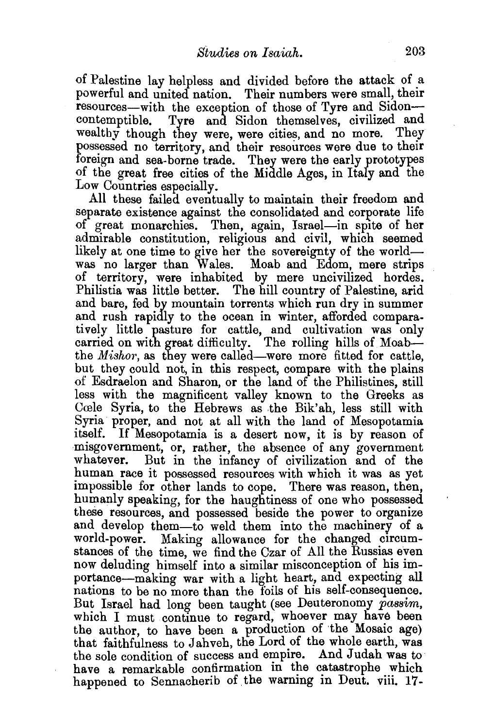of Palestine lay helpless and divided before the attack of \_a powerful and united nation. Their numbers were small, their resources—with the exception of those of Tyre and Sidon—contemptible. Tyre and Sidon themselves, civilized and Tyre and Sidon themselves, civilized and wealthy though they were, were cities, and no more. They possessed no territory, and their resources were due to their foreign and sea-borne trade. They were the early prototypes of the great free cities of the Middle Ages, in Italy and the Low Countries especially.

All these failed eventually to maintain their freedom and separate existence against the consolidated and corporate life of great monarchies. Then, again, Israel-in spite of her admirable constitution, religious and civil, which seemed likely at one time to give her the sovereignty of the worldwas no larger than Wales. Moab and Edom, mere strips of territory, were inhabited by mere uncivilized hordes. Philistia was little better. The hill country of Palestine, arid and bare, fed by mountain torrents which run dry in summer and rush rapidly to the ocean in winter, afforded comparatively little pasture for cattle, and cultivation was only carried on with great difficulty. The rolling hills of Moabthe *Mishor*, as they were called-were more fitted for cattle, but they could not, in this respect, compare with the plains of Esdraelon and Sharon, or the land of the Philistines, still less with the magnificent valley known to the Greeks as Ccele Syria, to the Hebrews as the Bik'ah, less still with Syria proper, and not at all with the land of Mesopotamia itself. If Mesopotamia is a desert now, it is by reason of misgovernment, or, rather, the absence of any government whatever. But in the infancy of civilization and of the human race it possessed resources with which it was as yet impossible for other lands to cope. There was reason, then, humanly speaking, for the haughtiness of one who possessed these resources, and possessed beside the power to organize and develop them-to weld them into the machinery of a world-power. Making allowance for the changed circumstances of the time, we find the Czar of All the Russias even now deluding himself into a similar misconception of his importance-making war with a light heart, and expecting all nations to be no more than the foils of his self-consequence. But Israel had long been taught (see Deuteronomy *passim*, which I must continue to regard, whoever may have been the author, to have been a production of the Mosaic age) that faithfulness to Jahveh, the Lord of the whole earth, was the sole condition of success and empire. And Judah was to have a remarkable confirmation in the catastrophe which happened to Sennacherib of the warning in Deut. viii. 17-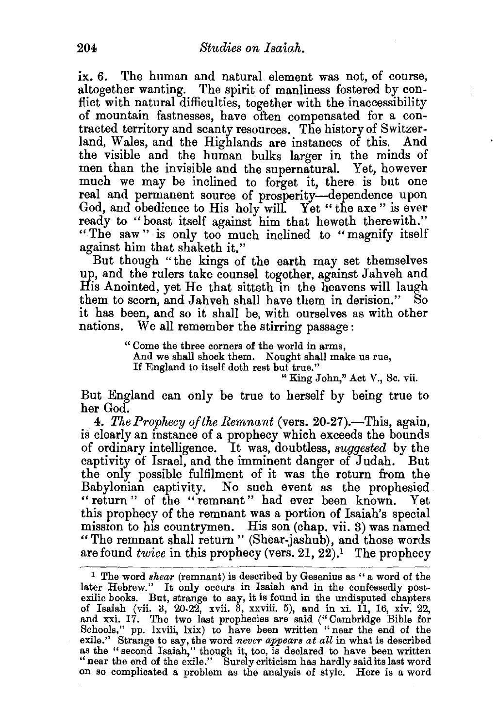ix. 6. The human and natural element was not, of course, altogether wanting. The spirit of manliness fostered by conflict with natural difficulties, together with the inaccessibility of mountain fastnesses, have often compensated for a contracted territory and scanty resources. The history of Switzerland, Wales, and the Highlands are instances of this. And the visible and the human bulks larger in the minds of men than the invisible and the supernatural. Yet, however much we may be inclined to forget it, there is but one real and permanent source of prosperity-dependence upon God, and obedience to His holy will. Yet "the axe" is ever ready to "boast itself against him that heweth therewith." "The saw" is only too much inclined to "magnify itself against him that shaketh it."

But though "the kings of the earth may set themselves up, and the rulers take counsel together, against Jahveh and His Anointed, yet He that sitteth in the heavens will laugh them to scorn, and Jahveh shall have them in derision." So it has been, and so it shall be, with ourselves as with other nations. We all remember the stirring passage: We all remember the stirring passage :

> " Come the three corners of the world in arms, And we shall shock them. Nought shall make us rue, If England to itself doth rest but true."

" King John," Act V., Sc. vii.

But England can only be true to herself by being true to her God.

4. *The Prophecy of the Remnant* (vers. 20-27).—This, again, is clearly an instance of a prophecy which exceeds the bounds of ordinary intelligence. It was, doubtless, *suggested* by the captivity of Israel, and the imminent danger of Judah. But the only possible fulfilment of it was the return from the Babylonian captivity. No such event as the prophesied " return " of the "remnant" had ever been known. Yet this prophecy of the remnant was a portion of Isaiah's special mission to his countrymen. His son (chap. vii. 3) was named "The remnant shall return" (Shear-jashub), and those words are found *twice* in this prophecy (vers. 21, 22).1 The prophecy

<sup>&</sup>lt;sup>1</sup> The word *shear* (remnant) is described by Gesenius as "a word of the later Hebrew." It only occurs in Isaiah and in the confessedly postexilic books. But, strange to say, it is found in the undisputed chapters of Isaiah (vii. 3, 20-22, xvii. 3, xxviii. 5), and in xi. 11, 16, xiv. 22, and xxi. 17. The two last prophecies are said ("Cambridge Bible for Schools," pp. lxviii, lxix) to have been written "near the end of the exile." Strange to say, the word *never appears at all* in what is described as the "second Isaiah," though it, too, is declared to have been written "near the end of the exile." Surely criticism has hardly said its last word on so complicated a problem as the analysis of style. Here is a word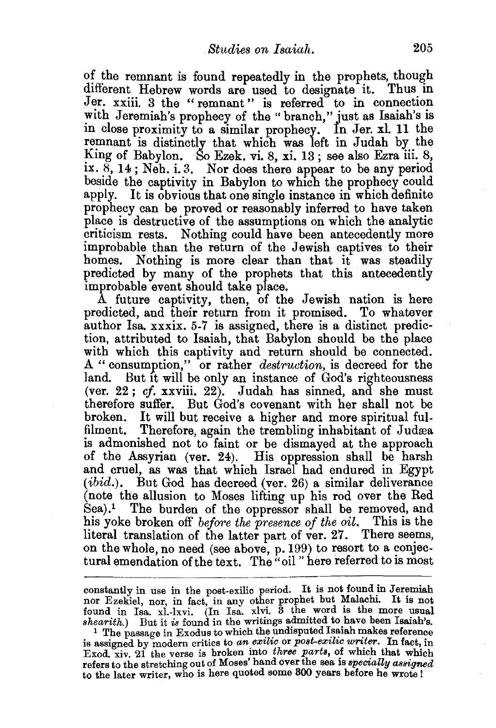of the remnant is found repeatedly in the prophets, though different Hebrew words are used to designate it. Thus in Jer. xxiii. 3 the "remnant" is referred to in connection with Jeremiah's prophecy of the "branch," just as Isaiah's is in close proximity to a similar prophecy. In Jer. xl. 11 the remnant is distinctly that which was left in Judah by the King of Babylon. So Ezek. vi. 8, xi. 13 ; see also Ezra iii. 8, ix. 8, 14; Neb. i. 3. Nor does there appear to be any period beside the captivity in Babylon to which the prophecy could apply. It is obvious that one single instance in which definite prophecy can be proved or reasonably inferred to have taken place is destructive of the assumptions on which the analytic criticism rests. Nothing could have been antecedently more improbable than the return of the Jewish captives to their homes. Nothing is more clear than that it was steadily predicted by many of the prophets that this antecedently improbable event should take place.

A future captivity, then, of the Jewish nation is here predicted, and their return from it promised. To whatever author lsa. xxxix. 5-7 is assigned, there is a distinct prediction, attributed to Isaiah, that Babylon should be the place with which this captivity and return should be connected. A "consumption," or rather *destruction,* is decreed for the land. But it will be only an instance of God's righteousness (ver. 22; *cf.* xxviii. 22). Judah has sinned, and she must therefore suffer. But God's covenant with her shall not be broken. It will but receive a higher and more spiritual fulfilment. Therefore, again the trembling inhabitant of Judæa is admonished not to faint or be dismayed at the approach of the Assyrian (ver. 24). His oppression shall be harsh and cruel, as was that which Israel had endured in Egypt (*ibid.*). But God has decreed (ver. 26) a similar deliverance (note the allusion to Moses lifting up his rod over the Red  $\text{S}ea$ ).<sup>1</sup> The burden of the oppressor shall be removed, and his yoke broken off *before the presence of the oil.* This is the literal translation of the latter part of ver. 27. There seems, on the whole, no need (see above, p. 199) to resort to a conjectural emendation of the text. The "oil" here referred to is most

constantly in use in the post-exilic period. It is not found in Jeremiah nor Ezekiel, nor, in fact, in any other prophet but Malachi. It is not found in Isa. xl.-lxvi. (In Isa. xlvi. 3 the word is the more usual  $\emph{shearith.}$  But it is found in the writings admitted to have been Isaiah's. <sup>1</sup> The passage in Exodus to which the undisputed Isaiah makes reference

is assigned by modern critics to an exilic or post-exilic writer. In fact, in Exod. xiv. 21 the verse is broken into *three parts*, of which that which refers to the stretching out of Moses' hand over the sea is *specially assigned*  to the later writer, who is here quoted some 300 years before he wrote 1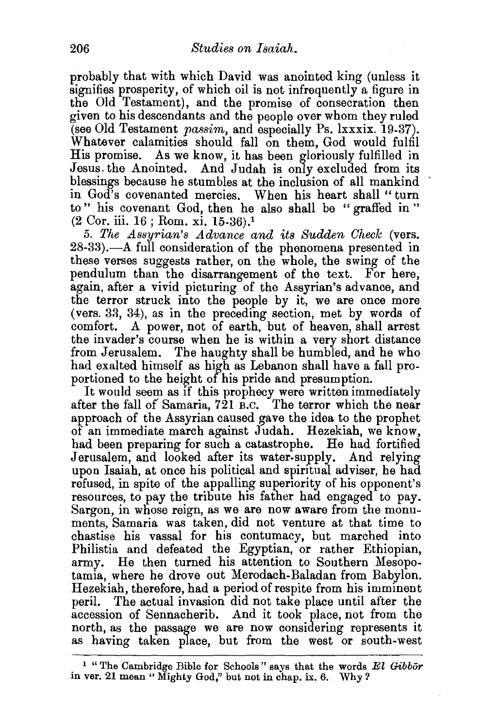probably that with which David was anointed king (unless it signifies prosperity, of which oil is not infrequently a figure in the Old Testament), and the promise of consecration then given to his descendants and the people over whom they ruled (see Old Testament *passim,* and especially Ps. lxxxix. 19-37). Whatever calamities should fall on them, God would fulfil His promise. As we know, it has been gloriously fulfilled in Jesus the Anointed. And Judah is only excluded from its blessings because he stumbles at the inclusion of all mankind in God's covenanted mercies. When his heart shall " turn to" his covenant God, then he also shall be "graffed in" (2 Cor. iii. 16 ; Rom. xi. 15-36).1

5. *The Assyrian's Advance and its Sudden Check* (vers. 28-33).—A full consideration of the phenomena presented in these verses suggests rather, on the whole, the swing of the pendulum than the disarrangement of the text. For here, again, after a vivid picturing of the Assyrian's advance, and the terror struck into the people by it, we are once more (vers. 33, 34), as in the preceding section, met by words of comfort. A power, not of earth, but of heaven, shall arrest the invader's course when he is within a very short distance from Jerusalem. The haughty shall be humbled, and he who had exalted himself as high as Lebanon shall have a fall proportioned to the height of his pride and presumption.

It would seem as if this prophecy were written immediately after the fall of Samaria, 721 B.C. The terror which the near approach of the Assyrian caused gave the idea to the prophet of an immediate march against Judah. Hezekiah, we know, had been preparing for such a catastrophe. He had fortified Jerusalem, and looked after its water-supply. And relying upon Isaiah, at once his political and spiritual adviser, he had refused, in spite of the appalling superiority of his opponent's resources, to pay the tribute his father had engaged to pay. Sargon, in whose reign, as we are now aware from the monuments, Samaria was taken, did not venture at that time to chastise his vassal for his contumacy, but marched into Philistia and defeated the Egyptian, or rather Ethiopian, army. He then turned his attention to Southern Mesopotamia, where he drove out Merodach-Baladan from Babylon. Hezekiah, therefore, had a period of respite from his imminent peril. The actual invasion did not take place until after the accession of Sennacherib. And it took place, not from the north, as the passage we are now considering represents it as having taken place, but from the west or south-west

<sup>&</sup>lt;sup>1</sup> "The Cambridge Bible for Schools" says that the words *El Gibbor* in ver. 21 mean " Mighty God," but not in chap. ix. 6. Why?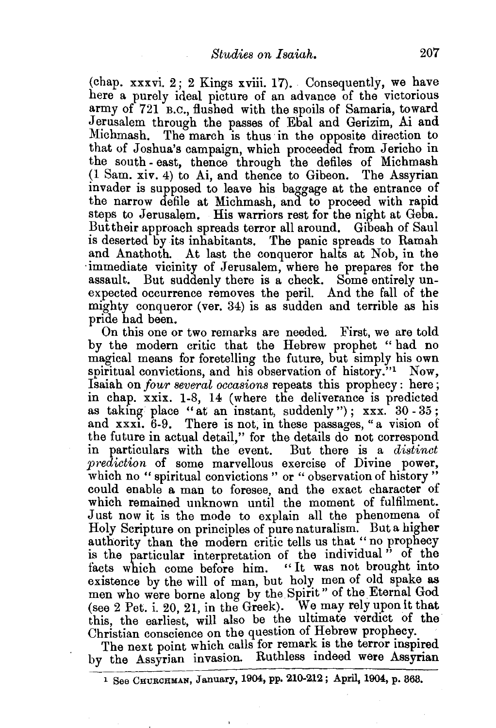$(chap. xxxvi. 2: 2 Kings xviii. 17).$  Consequently, we have here a purely ideal picture of an advance of the victorious army of 721 B.C., flushed with the spoils of Samaria, toward Jerusalem through the passes of Ebal and Gerizim, Ai and Michmash. The march is thus in the opposite direction to that of Joshua's campaign, which proceeded from Jericho in the south- east, thence through the defiles of Michmash (1 Sam. xiv. 4) to Ai, and thence to Gibeon. The Assyrian invader is supposed to leave his baggage at the entrance of the narrow defile at Michmash, and to proceed with rapid steps to Jerusalem. His warriors rest for the night at Geba. But their approach spreads terror all around. Gibeah of Saul is deserted by its inhabitants. The panic spreads to Ramah and Anathoth. At last the conqueror halts at Nob, in the ·immediate vicinity of Jerusalem, where he prepares for the assault. But suddenly there is a check. Some entirely unexpected occurrence removes the peril. And the fall of the mighty conqueror (ver. 34) is as sudden and terrible as his pride had been.

On this one or two remarks are needed. First, we are told by the modern critic that the Hebrew prophet " had no magical means for foretelling the future, but simply his own spiritual convictions, and his observation of history."<sup>1</sup> Now, Isaiah on *four several occasions* repeats this prophecy: here; in chap. xxix. 1-8, 14 (where the deliverance is predicted as taking place "at an instant, suddenly");  $xxxx. 30 - 35$ ; and xxxi. 6-9. There is not, in these passages, "a vision of the future in actual detail," for the details do not correspond in particulars with the event. But there is a *distinct prediction* of some marvellous exercise of Divine power, which no " spiritual convictions " or " observation of history" could enable a man to foresee, and the exact character of which remained unknown until the moment of fulfilment. Just now it is the mode to explain all the phenomena of Holy Scripture on principles of pure naturalism. But a higher authority than the modern critic tells us that "no prophecy is the particular interpretation of the individual  $\ddot{v}$  of the facts which come before him. "It was not brought into facts which come before him. existence by the will of man, but holy men of old spake as men who were borne along by the Spirit" of the Eternal God (see  $2$  Pet. i. 20, 21, in the Greek). We may rely upon it that this, the earliest, will also be the ultimate verdict of the Christian conscience on the question of Hebrew prophecy.

The next point which calls for remark is the terror inspired by the Assyrian invasion. Ruthless indeed were Assyrian

<sup>1</sup> See CHURCHMAN, January, 1904, pp. 210-212; April, 1904, p. 363.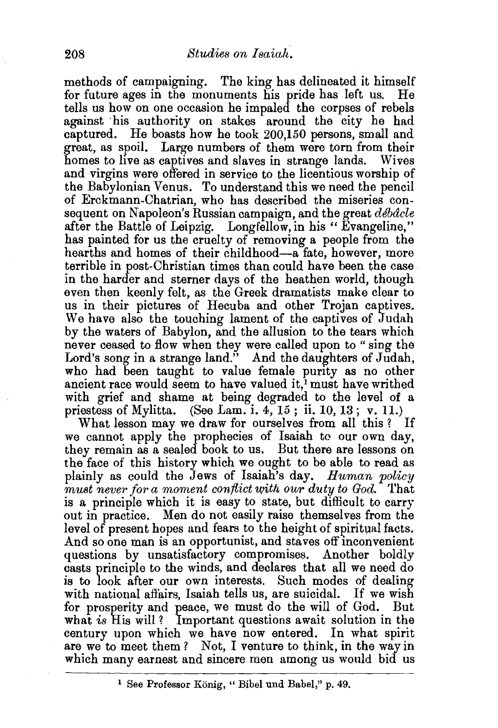methods of campaigning. The king has delineated it himself<br>for future ages in the monuments his pride has left us. He for future ages in the monuments his pride has left us. tells us how on one occasion he impaled the corpses of rebels against his authority on stakes around the city he had captured. He boasts how he took 200,150 persons, small and great, as spoil. Large numbers of them were torn from their homes to live as captives and slaves in strange lands. Wives and virgins were offered in service to the licentious worship of the Babylonian Venus. To understand this we need the pencil of Erckmann-Chatrian, who has described the miseries consequent on Napoleon's Russian campaign, and the great *debacle* after the Battle of Leipzig. Longfellow, in his "Evangeline," has painted for us the cruelty of removing a people from the hearths and homes of their childhood-a fate, however, more terrible in post-Christian times than could have been the case in the harder and sterner days of the heathen world, though even then keenly felt, as the Greek dramatists make clear to us in their pictures of Hecuba and other Trojan captives. We have also the touching lament of the captives of Judah by the waters of Babylon, and the allusion to the tears which never ceased to flow when they were called upon to" sing the Lord's song in a strange land." And the daughters of Judah, who had been taught to value female purity as no other ancient race would seem to have valued it,<sup>1</sup> must have writhed with grief and shame at being degraded to the level of a priestess of Mylitta. (See Lam. i.  $4, 15$ ; ii. 10, 13; v. 11.)

What lesson may we draw for ourselves from all this? we cannot apply the prophecies of Isaiah to our own day, they remain as a sealed book to us. But there are lessons on the face of this history which we ought to be able to read as plainly as could the Jews of Isaiah's day. *Human policy must never for a moment conflict with our duty to God.* That is a principle which it is easy to state, but difficult to carry out in practice. Men do not easily raise themselves from the level of present hopes and fears to the height of spiritual facts. And so one man is an opportunist, and staves off inconvenient questions by unsatisfactory compromises. Another boldly casts principle to the winds, and declares that all we need do is to look after our own interests. Such modes of dealing with national affairs, Isaiah tells us, are suicidal. If we wish for prosperity and peace, we must do the will of God. But what *is* His will ? Important questions await solution in the century upon which we have now entered. In what spirit are we to meet them? Not, I venture to think, in the way in which many earnest and sincere men among us would bid us

<sup>&</sup>lt;sup>1</sup> See Professor König, "Bibel und Babel," p. 49.